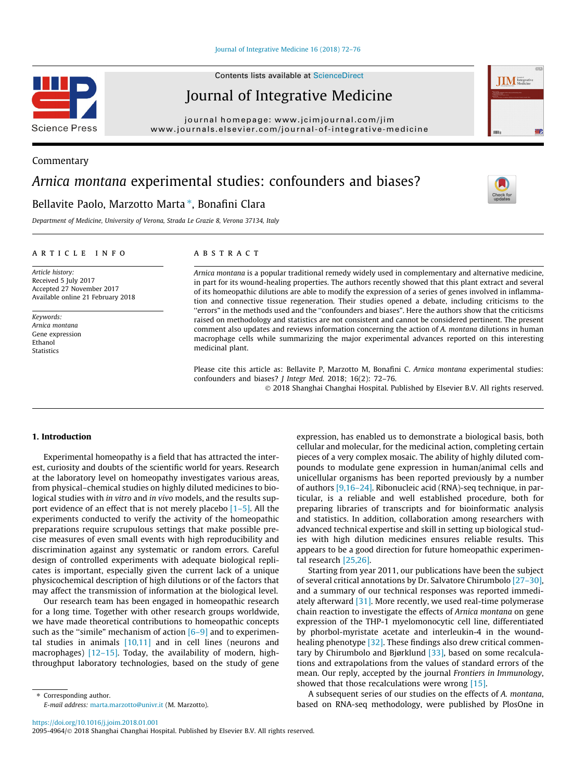Contents lists available at [ScienceDirect](http://www.sciencedirect.com/science/journal/20954964)

## Journal of Integrative Medicine

journal homepage: [www.jcimjournal.com/jim](http://www.jcimjournal.com/jim) [www.journals.elsevier.com/journal-of-integrative-medicine](http://www.journals.elsevier.com/journal-of-integrative-medicine)

# Arnica montana experimental studies: confounders and biases?

### Bellavite Paolo, Marzotto Marta\*, Bonafini Clara

Department of Medicine, University of Verona, Strada Le Grazie 8, Verona 37134, Italy

#### article info

Article history: Received 5 July 2017 Accepted 27 November 2017 Available online 21 February 2018

Keywords: Arnica montana Gene expression Ethanol Statistics

#### **ABSTRACT**

Arnica montana is a popular traditional remedy widely used in complementary and alternative medicine, in part for its wound-healing properties. The authors recently showed that this plant extract and several of its homeopathic dilutions are able to modify the expression of a series of genes involved in inflammation and connective tissue regeneration. Their studies opened a debate, including criticisms to the "errors" in the methods used and the "confounders and biases". Here the authors show that the criticisms raised on methodology and statistics are not consistent and cannot be considered pertinent. The present comment also updates and reviews information concerning the action of A. montana dilutions in human macrophage cells while summarizing the major experimental advances reported on this interesting medicinal plant.

Please cite this article as: Bellavite P, Marzotto M, Bonafini C. Arnica montana experimental studies: confounders and biases? J Integr Med. 2018; 16(2): 72–76.

2018 Shanghai Changhai Hospital. Published by Elsevier B.V. All rights reserved.

#### 1. Introduction

Experimental homeopathy is a field that has attracted the interest, curiosity and doubts of the scientific world for years. Research at the laboratory level on homeopathy investigates various areas, from physical–chemical studies on highly diluted medicines to biological studies with in vitro and in vivo models, and the results support evidence of an effect that is not merely placebo [\[1–5\]](#page-3-0). All the experiments conducted to verify the activity of the homeopathic preparations require scrupulous settings that make possible precise measures of even small events with high reproducibility and discrimination against any systematic or random errors. Careful design of controlled experiments with adequate biological replicates is important, especially given the current lack of a unique physicochemical description of high dilutions or of the factors that may affect the transmission of information at the biological level.

Our research team has been engaged in homeopathic research for a long time. Together with other research groups worldwide, we have made theoretical contributions to homeopathic concepts such as the "simile" mechanism of action  $[6-9]$  and to experimental studies in animals [\[10,11\]](#page-3-0) and in cell lines (neurons and macrophages) [\[12–15\].](#page-3-0) Today, the availability of modern, highthroughput laboratory technologies, based on the study of gene

⇑ Corresponding author. E-mail address: [marta.marzotto@univr.it](mailto:marta.marzotto@univr.it) (M. Marzotto). expression, has enabled us to demonstrate a biological basis, both cellular and molecular, for the medicinal action, completing certain pieces of a very complex mosaic. The ability of highly diluted compounds to modulate gene expression in human/animal cells and unicellular organisms has been reported previously by a number of authors [\[9,16–24\]](#page-3-0). Ribonucleic acid (RNA)-seq technique, in particular, is a reliable and well established procedure, both for preparing libraries of transcripts and for bioinformatic analysis and statistics. In addition, collaboration among researchers with advanced technical expertise and skill in setting up biological studies with high dilution medicines ensures reliable results. This appears to be a good direction for future homeopathic experimental research [\[25,26\].](#page-4-0)

Starting from year 2011, our publications have been the subject of several critical annotations by Dr. Salvatore Chirumbolo [\[27–30\],](#page-4-0) and a summary of our technical responses was reported immediately afterward [\[31\]](#page-4-0). More recently, we used real-time polymerase chain reaction to investigate the effects of Arnica montana on gene expression of the THP-1 myelomonocytic cell line, differentiated by phorbol-myristate acetate and interleukin-4 in the wound-healing phenotype [\[32\]](#page-4-0). These findings also drew critical commen-tary by Chirumbolo and Bjørklund [\[33\]](#page-4-0), based on some recalculations and extrapolations from the values of standard errors of the mean. Our reply, accepted by the journal Frontiers in Immunology, showed that those recalculations were wrong [\[15\].](#page-3-0)

A subsequent series of our studies on the effects of A. montana, based on RNA-seq methodology, were published by PlosOne in

**Science Press** 

Commentary



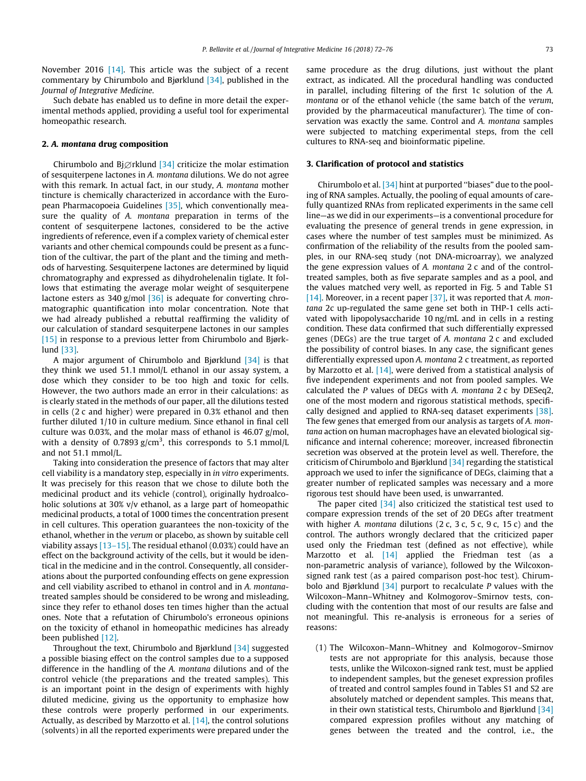November 2016 [\[14\].](#page-3-0) This article was the subject of a recent commentary by Chirumbolo and Bjørklund [\[34\],](#page-4-0) published in the Journal of Integrative Medicine.

Such debate has enabled us to define in more detail the experimental methods applied, providing a useful tool for experimental homeopathic research.

#### 2. A. montana drug composition

Chirumbolo and Bj $\emptyset$ rklund [\[34\]](#page-4-0) criticize the molar estimation of sesquiterpene lactones in A. montana dilutions. We do not agree with this remark. In actual fact, in our study, A. montana mother tincture is chemically characterized in accordance with the European Pharmacopoeia Guidelines [\[35\],](#page-4-0) which conventionally measure the quality of A. montana preparation in terms of the content of sesquiterpene lactones, considered to be the active ingredients of reference, even if a complex variety of chemical ester variants and other chemical compounds could be present as a function of the cultivar, the part of the plant and the timing and methods of harvesting. Sesquiterpene lactones are determined by liquid chromatography and expressed as dihydrohelenalin tiglate. It follows that estimating the average molar weight of sesquiterpene lactone esters as  $340$  g/mol  $\left[36\right]$  is adequate for converting chromatographic quantification into molar concentration. Note that we had already published a rebuttal reaffirming the validity of our calculation of standard sesquiterpene lactones in our samples [\[15\]](#page-3-0) in response to a previous letter from Chirumbolo and Bjørklund [\[33\].](#page-4-0)

A major argument of Chirumbolo and Bjørklund [\[34\]](#page-4-0) is that they think we used 51.1 mmol/L ethanol in our assay system, a dose which they consider to be too high and toxic for cells. However, the two authors made an error in their calculations: as is clearly stated in the methods of our paper, all the dilutions tested in cells (2 c and higher) were prepared in 0.3% ethanol and then further diluted 1/10 in culture medium. Since ethanol in final cell culture was 0.03%, and the molar mass of ethanol is 46.07 g/mol, with a density of 0.7893  $g/cm^3$ , this corresponds to 5.1 mmol/L and not 51.1 mmol/L.

Taking into consideration the presence of factors that may alter cell viability is a mandatory step, especially in in vitro experiments. It was precisely for this reason that we chose to dilute both the medicinal product and its vehicle (control), originally hydroalcoholic solutions at 30% v/v ethanol, as a large part of homeopathic medicinal products, a total of 1000 times the concentration present in cell cultures. This operation guarantees the non-toxicity of the ethanol, whether in the verum or placebo, as shown by suitable cell viability assays [\[13–15\].](#page-3-0) The residual ethanol (0.03%) could have an effect on the background activity of the cells, but it would be identical in the medicine and in the control. Consequently, all considerations about the purported confounding effects on gene expression and cell viability ascribed to ethanol in control and in A. montanatreated samples should be considered to be wrong and misleading, since they refer to ethanol doses ten times higher than the actual ones. Note that a refutation of Chirumbolo's erroneous opinions on the toxicity of ethanol in homeopathic medicines has already been published [\[12\].](#page-3-0)

Throughout the text, Chirumbolo and Bjørklund [\[34\]](#page-4-0) suggested a possible biasing effect on the control samples due to a supposed difference in the handling of the A. montana dilutions and of the control vehicle (the preparations and the treated samples). This is an important point in the design of experiments with highly diluted medicine, giving us the opportunity to emphasize how these controls were properly performed in our experiments. Actually, as described by Marzotto et al.  $[14]$ , the control solutions (solvents) in all the reported experiments were prepared under the same procedure as the drug dilutions, just without the plant extract, as indicated. All the procedural handling was conducted in parallel, including filtering of the first 1c solution of the A. montana or of the ethanol vehicle (the same batch of the verum, provided by the pharmaceutical manufacturer). The time of conservation was exactly the same. Control and A. montana samples were subjected to matching experimental steps, from the cell cultures to RNA-seq and bioinformatic pipeline.

#### 3. Clarification of protocol and statistics

Chirumbolo et al. [\[34\]](#page-4-0) hint at purported ''biases" due to the pooling of RNA samples. Actually, the pooling of equal amounts of carefully quantized RNAs from replicated experiments in the same cell line—as we did in our experiments—is a conventional procedure for evaluating the presence of general trends in gene expression, in cases where the number of test samples must be minimized. As confirmation of the reliability of the results from the pooled samples, in our RNA-seq study (not DNA-microarray), we analyzed the gene expression values of A. montana 2 c and of the controltreated samples, both as five separate samples and as a pool, and the values matched very well, as reported in Fig. 5 and Table S1 [\[14\]](#page-3-0). Moreover, in a recent paper [\[37\],](#page-4-0) it was reported that A. montana 2c up-regulated the same gene set both in THP-1 cells activated with lipopolysaccharide 10 ng/mL and in cells in a resting condition. These data confirmed that such differentially expressed genes (DEGs) are the true target of A. montana 2 c and excluded the possibility of control biases. In any case, the significant genes differentially expressed upon A. montana 2 c treatment, as reported by Marzotto et al. [\[14\],](#page-3-0) were derived from a statistical analysis of five independent experiments and not from pooled samples. We calculated the P values of DEGs with A. montana 2 c by DESeq2, one of the most modern and rigorous statistical methods, specifically designed and applied to RNA-seq dataset experiments [\[38\].](#page-4-0) The few genes that emerged from our analysis as targets of A. montana action on human macrophages have an elevated biological significance and internal coherence; moreover, increased fibronectin secretion was observed at the protein level as well. Therefore, the criticism of Chirumbolo and Bjørklund [\[34\]](#page-4-0) regarding the statistical approach we used to infer the significance of DEGs, claiming that a greater number of replicated samples was necessary and a more rigorous test should have been used, is unwarranted.

The paper cited  $[34]$  also criticized the statistical test used to compare expression trends of the set of 20 DEGs after treatment with higher A. montana dilutions  $(2 c, 3 c, 5 c, 9 c, 15 c)$  and the control. The authors wrongly declared that the criticized paper used only the Friedman test (defined as not effective), while Marzotto et al. [\[14\]](#page-3-0) applied the Friedman test (as a non-parametric analysis of variance), followed by the Wilcoxonsigned rank test (as a paired comparison post-hoc test). Chirumbolo and Bjørklund  $[34]$  purport to recalculate P values with the Wilcoxon–Mann–Whitney and Kolmogorov–Smirnov tests, concluding with the contention that most of our results are false and not meaningful. This re-analysis is erroneous for a series of reasons:

(1) The Wilcoxon–Mann–Whitney and Kolmogorov–Smirnov tests are not appropriate for this analysis, because those tests, unlike the Wilcoxon-signed rank test, must be applied to independent samples, but the geneset expression profiles of treated and control samples found in Tables S1 and S2 are absolutely matched or dependent samples. This means that, in their own statistical tests, Chirumbolo and Bjørklund [\[34\]](#page-4-0) compared expression profiles without any matching of genes between the treated and the control, i.e., the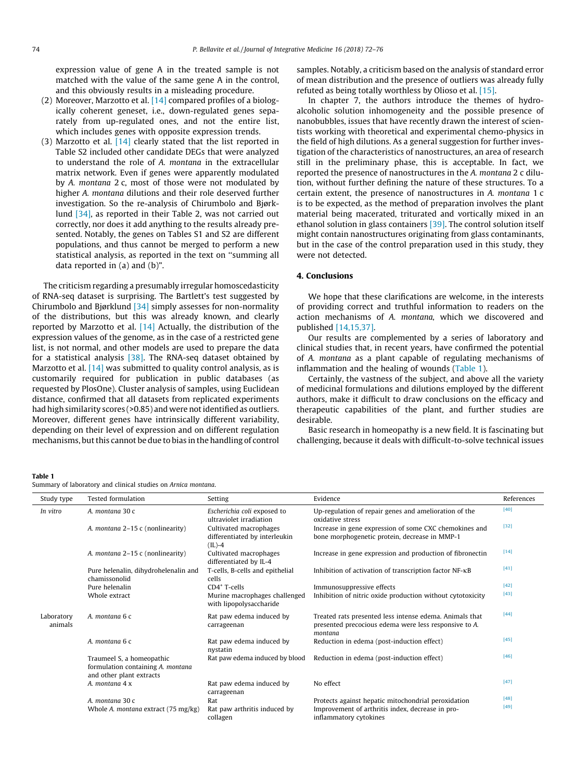expression value of gene A in the treated sample is not matched with the value of the same gene A in the control, and this obviously results in a misleading procedure.

- (2) Moreover, Marzotto et al.  $[14]$  compared profiles of a biologically coherent geneset, i.e., down-regulated genes separately from up-regulated ones, and not the entire list, which includes genes with opposite expression trends.
- (3) Marzotto et al. [\[14\]](#page-3-0) clearly stated that the list reported in Table S2 included other candidate DEGs that were analyzed to understand the role of A. montana in the extracellular matrix network. Even if genes were apparently modulated by A. montana 2 c, most of those were not modulated by higher A. montana dilutions and their role deserved further investigation. So the re-analysis of Chirumbolo and Bjørklund [\[34\]](#page-4-0), as reported in their Table 2, was not carried out correctly, nor does it add anything to the results already presented. Notably, the genes on Tables S1 and S2 are different populations, and thus cannot be merged to perform a new statistical analysis, as reported in the text on ''summing all data reported in (a) and (b)".

The criticism regarding a presumably irregular homoscedasticity of RNA-seq dataset is surprising. The Bartlett's test suggested by Chirumbolo and Bjørklund [\[34\]](#page-4-0) simply assesses for non-normality of the distributions, but this was already known, and clearly reported by Marzotto et al. [\[14\]](#page-3-0) Actually, the distribution of the expression values of the genome, as in the case of a restricted gene list, is not normal, and other models are used to prepare the data for a statistical analysis [\[38\].](#page-4-0) The RNA-seq dataset obtained by Marzotto et al.  $[14]$  was submitted to quality control analysis, as is customarily required for publication in public databases (as requested by PlosOne). Cluster analysis of samples, using Euclidean distance, confirmed that all datasets from replicated experiments had high similarity scores (>0.85) and were not identified as outliers. Moreover, different genes have intrinsically different variability, depending on their level of expression and on different regulation mechanisms, but this cannot be due to bias in the handling of control samples. Notably, a criticism based on the analysis of standard error of mean distribution and the presence of outliers was already fully refuted as being totally worthless by Olioso et al. [\[15\].](#page-3-0)

In chapter 7, the authors introduce the themes of hydroalcoholic solution inhomogeneity and the possible presence of nanobubbles, issues that have recently drawn the interest of scientists working with theoretical and experimental chemo-physics in the field of high dilutions. As a general suggestion for further investigation of the characteristics of nanostructures, an area of research still in the preliminary phase, this is acceptable. In fact, we reported the presence of nanostructures in the A. montana 2 c dilution, without further defining the nature of these structures. To a certain extent, the presence of nanostructures in A. montana 1 c is to be expected, as the method of preparation involves the plant material being macerated, triturated and vortically mixed in an ethanol solution in glass containers [\[39\]](#page-4-0). The control solution itself might contain nanostructures originating from glass contaminants, but in the case of the control preparation used in this study, they were not detected.

#### 4. Conclusions

We hope that these clarifications are welcome, in the interests of providing correct and truthful information to readers on the action mechanisms of A. montana, which we discovered and published [\[14,15,37\].](#page-3-0)

Our results are complemented by a series of laboratory and clinical studies that, in recent years, have confirmed the potential of A. montana as a plant capable of regulating mechanisms of inflammation and the healing of wounds (Table 1).

Certainly, the vastness of the subject, and above all the variety of medicinal formulations and dilutions employed by the different authors, make it difficult to draw conclusions on the efficacy and therapeutic capabilities of the plant, and further studies are desirable.

Basic research in homeopathy is a new field. It is fascinating but challenging, because it deals with difficult-to-solve technical issues

#### Table 1

Summary of laboratory and clinical studies on Arnica montana.

| Study type            | <b>Tested formulation</b>                                                                  | Setting                                                             | Evidence                                                                                                                    | References |
|-----------------------|--------------------------------------------------------------------------------------------|---------------------------------------------------------------------|-----------------------------------------------------------------------------------------------------------------------------|------------|
| In vitro              | A. montana 30 c.                                                                           | Escherichia coli exposed to<br>ultraviolet irradiation              | Up-regulation of repair genes and amelioration of the<br>oxidative stress                                                   | $[40]$     |
|                       | A. montana 2-15 c (nonlinearity)                                                           | Cultivated macrophages<br>differentiated by interleukin<br>$(IL)-4$ | Increase in gene expression of some CXC chemokines and<br>bone morphogenetic protein, decrease in MMP-1                     | $[32]$     |
|                       | A. montana 2-15 c (nonlinearity)                                                           | Cultivated macrophages<br>differentiated by IL-4                    | Increase in gene expression and production of fibronectin                                                                   | $[14]$     |
|                       | Pure helenalin, dihydrohelenalin and<br>chamissonolid                                      | T-cells, B-cells and epithelial<br>cells                            | Inhibition of activation of transcription factor NF-KB                                                                      | $[41]$     |
|                       | Pure helenalin                                                                             | $CD4^+$ T-cells                                                     | Immunosuppressive effects                                                                                                   | $[42]$     |
|                       | Whole extract                                                                              | Murine macrophages challenged<br>with lipopolysaccharide            | Inhibition of nitric oxide production without cytotoxicity                                                                  | $[43]$     |
| Laboratory<br>animals | A. montana 6 c                                                                             | Rat paw edema induced by<br>carrageenan                             | Treated rats presented less intense edema. Animals that<br>presented precocious edema were less responsive to A.<br>montana | $[44]$     |
|                       | A. montana 6 c                                                                             | Rat paw edema induced by<br>nystatin                                | Reduction in edema (post-induction effect)                                                                                  | $[45]$     |
|                       | Traumeel S, a homeopathic<br>formulation containing A. montana<br>and other plant extracts | Rat paw edema induced by blood                                      | Reduction in edema (post-induction effect)                                                                                  | $[46]$     |
|                       | A. montana 4 x                                                                             | Rat paw edema induced by<br>carrageenan                             | No effect                                                                                                                   | $[47]$     |
|                       | A. montana 30 c.                                                                           | Rat                                                                 | Protects against hepatic mitochondrial peroxidation                                                                         | $[48]$     |
|                       | Whole A. montana extract (75 mg/kg)                                                        | Rat paw arthritis induced by<br>collagen                            | Improvement of arthritis index, decrease in pro-<br>inflammatory cytokines                                                  | $[49]$     |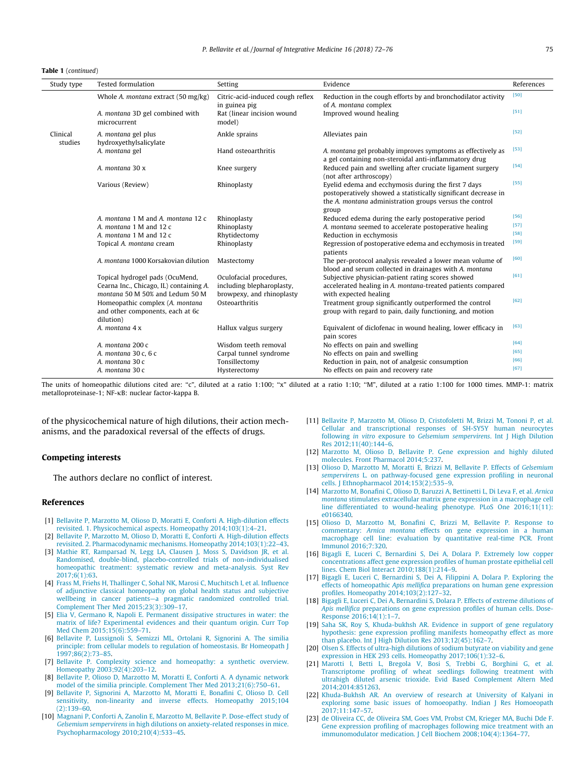<span id="page-3-0"></span>Table 1 (continued)

| Study type          | Tested formulation                                                                                            | Setting                                                                           | Evidence                                                                                                                                                                                  | References |
|---------------------|---------------------------------------------------------------------------------------------------------------|-----------------------------------------------------------------------------------|-------------------------------------------------------------------------------------------------------------------------------------------------------------------------------------------|------------|
| Clinical<br>studies | Whole A. montana extract (50 mg/kg)                                                                           | Citric-acid-induced cough reflex<br>in guinea pig                                 | Reduction in the cough efforts by and bronchodilator activity<br>of A. montana complex                                                                                                    | $[50]$     |
|                     | A. montana 3D gel combined with<br>microcurrent                                                               | Rat (linear incision wound<br>model)                                              | Improved wound healing                                                                                                                                                                    | $[51]$     |
|                     | A. montana gel plus<br>hydroxyethylsalicylate                                                                 | Ankle sprains                                                                     | Alleviates pain                                                                                                                                                                           | $[52]$     |
|                     | A. montana gel                                                                                                | Hand osteoarthritis                                                               | A. montana gel probably improves symptoms as effectively as<br>a gel containing non-steroidal anti-inflammatory drug                                                                      | $[53]$     |
|                     | A. montana 30 x                                                                                               | Knee surgery                                                                      | Reduced pain and swelling after cruciate ligament surgery<br>(not after arthroscopy)                                                                                                      | $[54]$     |
|                     | Various (Review)                                                                                              | Rhinoplasty                                                                       | Eyelid edema and ecchymosis during the first 7 days<br>postoperatively showed a statistically significant decrease in<br>the A. montana administration groups versus the control<br>group | $[55]$     |
|                     | A. montana 1 M and A. montana 12 c                                                                            | Rhinoplasty                                                                       | Reduced edema during the early postoperative period                                                                                                                                       | $[56]$     |
|                     | A. montana $1 M$ and $12 c$                                                                                   | Rhinoplasty                                                                       | A. montana seemed to accelerate postoperative healing                                                                                                                                     | $[57]$     |
|                     | A. montana 1 M and 12 c                                                                                       | Rhytidectomy                                                                      | Reduction in ecchymosis                                                                                                                                                                   | $[58]$     |
|                     | Topical A. montana cream                                                                                      | Rhinoplasty                                                                       | Regression of postoperative edema and ecchymosis in treated<br>patients                                                                                                                   | $[59]$     |
|                     | A. montana 1000 Korsakovian dilution                                                                          | Mastectomy                                                                        | The per-protocol analysis revealed a lower mean volume of<br>blood and serum collected in drainages with A. montana                                                                       | [60]       |
|                     | Topical hydrogel pads (OcuMend,<br>Cearna Inc., Chicago, IL) containing A.<br>montana 50 M 50% and Ledum 50 M | Oculofacial procedures,<br>including blepharoplasty,<br>browpexy, and rhinoplasty | Subjective physician-patient rating scores showed<br>accelerated healing in A. montana-treated patients compared<br>with expected healing                                                 | $[61]$     |
|                     | Homeopathic complex (A. montana<br>and other components, each at 6c<br>dilution)                              | Osteoarthritis                                                                    | Treatment group significantly outperformed the control<br>group with regard to pain, daily functioning, and motion                                                                        | $[62]$     |
|                     | A. montana 4 x                                                                                                | Hallux valgus surgery                                                             | Equivalent of diclofenac in wound healing, lower efficacy in<br>pain scores                                                                                                               | $[63]$     |
|                     | A. montana 200 c                                                                                              | Wisdom teeth removal                                                              | No effects on pain and swelling                                                                                                                                                           | $[64]$     |
|                     | A. montana 30 c. 6 c                                                                                          | Carpal tunnel syndrome                                                            | No effects on pain and swelling                                                                                                                                                           | [65]       |
|                     | A. montana 30 c                                                                                               | Tonsillectomy                                                                     | Reduction in pain, not of analgesic consumption                                                                                                                                           | $[66]$     |
|                     | A. montana 30 c                                                                                               | Hysterectomy                                                                      | No effects on pain and recovery rate                                                                                                                                                      | $[67]$     |

The units of homeopathic dilutions cited are: "c", diluted at a ratio 1:100; "x" diluted at a ratio 1:10; "M", diluted at a ratio 1:100 for 1000 times. MMP-1: matrix metalloproteinase-1; NF-KB: nuclear factor-kappa B.

of the physicochemical nature of high dilutions, their action mechanisms, and the paradoxical reversal of the effects of drugs.

#### Competing interests

The authors declare no conflict of interest.

#### References

- [1] [Bellavite P, Marzotto M, Olioso D, Moratti E, Conforti A. High-dilution effects](http://refhub.elsevier.com/S2095-4964(18)30012-8/h0005) [revisited. 1. Physicochemical aspects. Homeopathy 2014;103\(1\):4–21](http://refhub.elsevier.com/S2095-4964(18)30012-8/h0005).
- [2] [Bellavite P, Marzotto M, Olioso D, Moratti E, Conforti A. High-dilution effects](http://refhub.elsevier.com/S2095-4964(18)30012-8/h0010) [revisited. 2. Pharmacodynamic mechanisms. Homeopathy 2014;103\(1\):22–43](http://refhub.elsevier.com/S2095-4964(18)30012-8/h0010).
- [3] [Mathie RT, Ramparsad N, Legg LA, Clausen J, Moss S, Davidson JR, et al.](http://refhub.elsevier.com/S2095-4964(18)30012-8/h0015) [Randomised, double-blind, placebo-controlled trials of non-individualised](http://refhub.elsevier.com/S2095-4964(18)30012-8/h0015) [homeopathic treatment: systematic review and meta-analysis. Syst Rev](http://refhub.elsevier.com/S2095-4964(18)30012-8/h0015) [2017;6\(1\):63](http://refhub.elsevier.com/S2095-4964(18)30012-8/h0015).
- [4] [Frass M, Friehs H, Thallinger C, Sohal NK, Marosi C, Muchitsch I, et al. Influence](http://refhub.elsevier.com/S2095-4964(18)30012-8/h0020) [of adjunctive classical homeopathy on global health status and subjective](http://refhub.elsevier.com/S2095-4964(18)30012-8/h0020) [wellbeing in cancer patients—a pragmatic randomized controlled trial.](http://refhub.elsevier.com/S2095-4964(18)30012-8/h0020) [Complement Ther Med 2015;23\(3\):309–17.](http://refhub.elsevier.com/S2095-4964(18)30012-8/h0020)
- [5] [Elia V, Germano R, Napoli E. Permanent dissipative structures in water: the](http://refhub.elsevier.com/S2095-4964(18)30012-8/h0025) [matrix of life? Experimental evidences and their quantum origin. Curr Top](http://refhub.elsevier.com/S2095-4964(18)30012-8/h0025) [Med Chem 2015;15\(6\):559–71.](http://refhub.elsevier.com/S2095-4964(18)30012-8/h0025)
- [6] [Bellavite P, Lussignoli S, Semizzi ML, Ortolani R, Signorini A. The similia](http://refhub.elsevier.com/S2095-4964(18)30012-8/h0030) [principle: from cellular models to regulation of homeostasis. Br Homeopath J](http://refhub.elsevier.com/S2095-4964(18)30012-8/h0030) [1997;86\(2\):73–85.](http://refhub.elsevier.com/S2095-4964(18)30012-8/h0030)
- [7] [Bellavite P. Complexity science and homeopathy: a synthetic overview.](http://refhub.elsevier.com/S2095-4964(18)30012-8/h0035) [Homeopathy 2003;92\(4\):203–12.](http://refhub.elsevier.com/S2095-4964(18)30012-8/h0035)
- [8] [Bellavite P, Olioso D, Marzotto M, Moratti E, Conforti A. A dynamic network](http://refhub.elsevier.com/S2095-4964(18)30012-8/h0040) [model of the similia principle. Complement Ther Med 2013;21\(6\):750–61.](http://refhub.elsevier.com/S2095-4964(18)30012-8/h0040)
- [9] [Bellavite P, Signorini A, Marzotto M, Moratti E, Bonafini C, Olioso D. Cell](http://refhub.elsevier.com/S2095-4964(18)30012-8/h0045) [sensitivity, non-linearity and inverse effects. Homeopathy 2015;104](http://refhub.elsevier.com/S2095-4964(18)30012-8/h0045)  $(2):139-60.$
- [10] [Magnani P, Conforti A, Zanolin E, Marzotto M, Bellavite P. Dose-effect study of](http://refhub.elsevier.com/S2095-4964(18)30012-8/h0050) Gelsemium sempervirens [in high dilutions on anxiety-related responses in mice.](http://refhub.elsevier.com/S2095-4964(18)30012-8/h0050) [Psychopharmacology 2010;210\(4\):533–45.](http://refhub.elsevier.com/S2095-4964(18)30012-8/h0050)
- [11] [Bellavite P, Marzotto M, Olioso D, Cristofoletti M, Brizzi M, Tononi P, et al.](http://refhub.elsevier.com/S2095-4964(18)30012-8/h0055) [Cellular and transcriptional responses of SH-SY5Y human neurocytes](http://refhub.elsevier.com/S2095-4964(18)30012-8/h0055) following in vitro exposure to [Gelsemium sempervirens](http://refhub.elsevier.com/S2095-4964(18)30012-8/h0055). Int J High Dilution [Res 2012;11\(40\):144–6.](http://refhub.elsevier.com/S2095-4964(18)30012-8/h0055)
- [12] [Marzotto M, Olioso D, Bellavite P. Gene expression and highly diluted](http://refhub.elsevier.com/S2095-4964(18)30012-8/h0060) [molecules. Front Pharmacol 2014;5:237.](http://refhub.elsevier.com/S2095-4964(18)30012-8/h0060)
- [13] [Olioso D, Marzotto M, Moratti E, Brizzi M, Bellavite P. Effects of](http://refhub.elsevier.com/S2095-4964(18)30012-8/h0065) Gelsemium sempervirens [L. on pathway-focused gene expression profiling in neuronal](http://refhub.elsevier.com/S2095-4964(18)30012-8/h0065) [cells. J Ethnopharmacol 2014;153\(2\):535–9](http://refhub.elsevier.com/S2095-4964(18)30012-8/h0065).
- [14] [Marzotto M, Bonafini C, Olioso D, Baruzzi A, Bettinetti L, Di Leva F, et al.](http://refhub.elsevier.com/S2095-4964(18)30012-8/h0070) Arnica montana [stimulates extracellular matrix gene expression in a macrophage cell](http://refhub.elsevier.com/S2095-4964(18)30012-8/h0070) [line differentiated to wound-healing phenotype. PLoS One 2016;11\(11\):](http://refhub.elsevier.com/S2095-4964(18)30012-8/h0070) [e0166340](http://refhub.elsevier.com/S2095-4964(18)30012-8/h0070).
- [15] [Olioso D, Marzotto M, Bonafini C, Brizzi M, Bellavite P. Response to](http://refhub.elsevier.com/S2095-4964(18)30012-8/h0075) commentary: Arnica montana [effects on gene expression in a human](http://refhub.elsevier.com/S2095-4964(18)30012-8/h0075) [macrophage cell line: evaluation by quantitative real-time PCR. Front](http://refhub.elsevier.com/S2095-4964(18)30012-8/h0075) [Immunol 2016;7:320](http://refhub.elsevier.com/S2095-4964(18)30012-8/h0075).
- [16] [Bigagli E, Luceri C, Bernardini S, Dei A, Dolara P. Extremely low copper](http://refhub.elsevier.com/S2095-4964(18)30012-8/h0080) [concentrations affect gene expression profiles of human prostate epithelial cell](http://refhub.elsevier.com/S2095-4964(18)30012-8/h0080) [lines. Chem Biol Interact 2010;188\(1\):214–9.](http://refhub.elsevier.com/S2095-4964(18)30012-8/h0080)
- [17] [Bigagli E, Luceri C, Bernardini S, Dei A, Filippini A, Dolara P. Exploring the](http://refhub.elsevier.com/S2095-4964(18)30012-8/h0085) effects of homeopathic Apis mellifica [preparations on human gene expression](http://refhub.elsevier.com/S2095-4964(18)30012-8/h0085) [profiles. Homeopathy 2014;103\(2\):127–32](http://refhub.elsevier.com/S2095-4964(18)30012-8/h0085).
- [18] [Bigagli E, Luceri C, Dei A, Bernardini S, Dolara P. Effects of extreme dilutions of](http://refhub.elsevier.com/S2095-4964(18)30012-8/h0090) Apis mellifica [preparations on gene expression profiles of human cells. Dose-](http://refhub.elsevier.com/S2095-4964(18)30012-8/h0090)[Response 2016;14\(1\):1–7](http://refhub.elsevier.com/S2095-4964(18)30012-8/h0090).
- [19] [Saha SK, Roy S, Khuda-bukhsh AR. Evidence in support of gene regulatory](http://refhub.elsevier.com/S2095-4964(18)30012-8/h0095) [hypothesis: gene expression profiling manifests homeopathy effect as more](http://refhub.elsevier.com/S2095-4964(18)30012-8/h0095) than placebo. Int J High Dilution Res 2013;12(45):162-7.
- [20] [Olsen S. Effects of ultra-high dilutions of sodium butyrate on viability and gene](http://refhub.elsevier.com/S2095-4964(18)30012-8/h0100) [expression in HEK 293 cells. Homeopathy 2017;106\(1\):32–6.](http://refhub.elsevier.com/S2095-4964(18)30012-8/h0100)
- [21] [Marotti I, Betti L, Bregola V, Bosi S, Trebbi G, Borghini G, et al.](http://refhub.elsevier.com/S2095-4964(18)30012-8/h0105) [Transcriptome profiling of wheat seedlings following treatment with](http://refhub.elsevier.com/S2095-4964(18)30012-8/h0105) [ultrahigh diluted arsenic trioxide. Evid Based Complement Altern Med](http://refhub.elsevier.com/S2095-4964(18)30012-8/h0105) [2014;2014:851263](http://refhub.elsevier.com/S2095-4964(18)30012-8/h0105).
- [22] [Khuda-Bukhsh AR. An overview of research at University of Kalyani in](http://refhub.elsevier.com/S2095-4964(18)30012-8/h0110) [exploring some basic issues of homoeopathy. Indian J Res Homoeopath](http://refhub.elsevier.com/S2095-4964(18)30012-8/h0110) [2017;11:147–57](http://refhub.elsevier.com/S2095-4964(18)30012-8/h0110).
- [23] [de Oliveira CC, de Oliveira SM, Goes VM, Probst CM, Krieger MA, Buchi Dde F.](http://refhub.elsevier.com/S2095-4964(18)30012-8/h0115) [Gene expression profiling of macrophages following mice treatment with an](http://refhub.elsevier.com/S2095-4964(18)30012-8/h0115) [immunomodulator medication. J Cell Biochem 2008;104\(4\):1364–77.](http://refhub.elsevier.com/S2095-4964(18)30012-8/h0115)